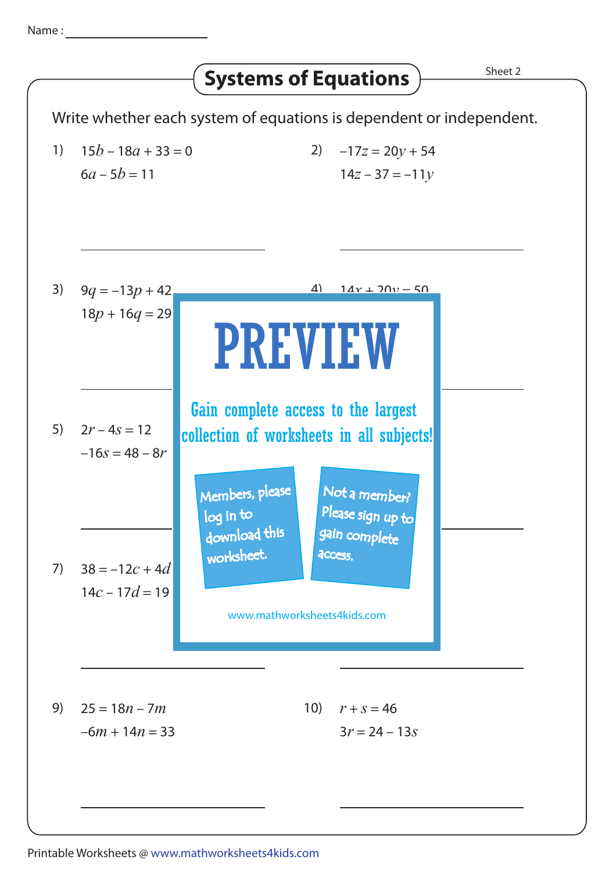